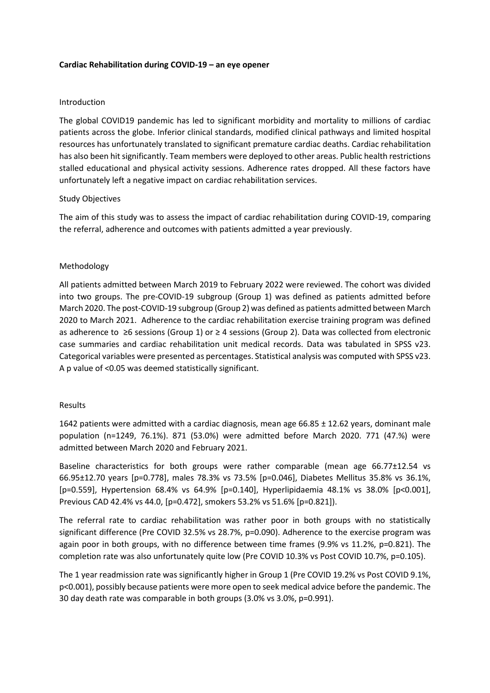### **Cardiac Rehabilitation during COVID-19 – an eye opener**

## Introduction

The global COVID19 pandemic has led to significant morbidity and mortality to millions of cardiac patients across the globe. Inferior clinical standards, modified clinical pathways and limited hospital resources has unfortunately translated to significant premature cardiac deaths. Cardiac rehabilitation has also been hit significantly. Team members were deployed to other areas. Public health restrictions stalled educational and physical activity sessions. Adherence rates dropped. All these factors have unfortunately left a negative impact on cardiac rehabilitation services.

### Study Objectives

The aim of this study was to assess the impact of cardiac rehabilitation during COVID-19, comparing the referral, adherence and outcomes with patients admitted a year previously.

## Methodology

All patients admitted between March 2019 to February 2022 were reviewed. The cohort was divided into two groups. The pre-COVID-19 subgroup (Group 1) was defined as patients admitted before March 2020. The post-COVID-19 subgroup (Group 2) was defined as patients admitted between March 2020 to March 2021. Adherence to the cardiac rehabilitation exercise training program was defined as adherence to ≥6 sessions (Group 1) or ≥ 4 sessions (Group 2). Data was collected from electronic case summaries and cardiac rehabilitation unit medical records. Data was tabulated in SPSS v23. Categorical variables were presented as percentages. Statistical analysis was computed with SPSS v23. A p value of <0.05 was deemed statistically significant.

#### Results

1642 patients were admitted with a cardiac diagnosis, mean age 66.85 ± 12.62 years, dominant male population (n=1249, 76.1%). 871 (53.0%) were admitted before March 2020. 771 (47.%) were admitted between March 2020 and February 2021.

Baseline characteristics for both groups were rather comparable (mean age 66.77±12.54 vs 66.95±12.70 years [p=0.778], males 78.3% vs 73.5% [p=0.046], Diabetes Mellitus 35.8% vs 36.1%, [p=0.559], Hypertension 68.4% vs 64.9% [p=0.140], Hyperlipidaemia 48.1% vs 38.0% [p<0.001], Previous CAD 42.4% vs 44.0, [p=0.472], smokers 53.2% vs 51.6% [p=0.821]).

The referral rate to cardiac rehabilitation was rather poor in both groups with no statistically significant difference (Pre COVID 32.5% vs 28.7%, p=0.090). Adherence to the exercise program was again poor in both groups, with no difference between time frames (9.9% vs 11.2%, p=0.821). The completion rate was also unfortunately quite low (Pre COVID 10.3% vs Post COVID 10.7%, p=0.105).

The 1 year readmission rate was significantly higher in Group 1 (Pre COVID 19.2% vs Post COVID 9.1%, p<0.001), possibly because patients were more open to seek medical advice before the pandemic. The 30 day death rate was comparable in both groups (3.0% vs 3.0%, p=0.991).